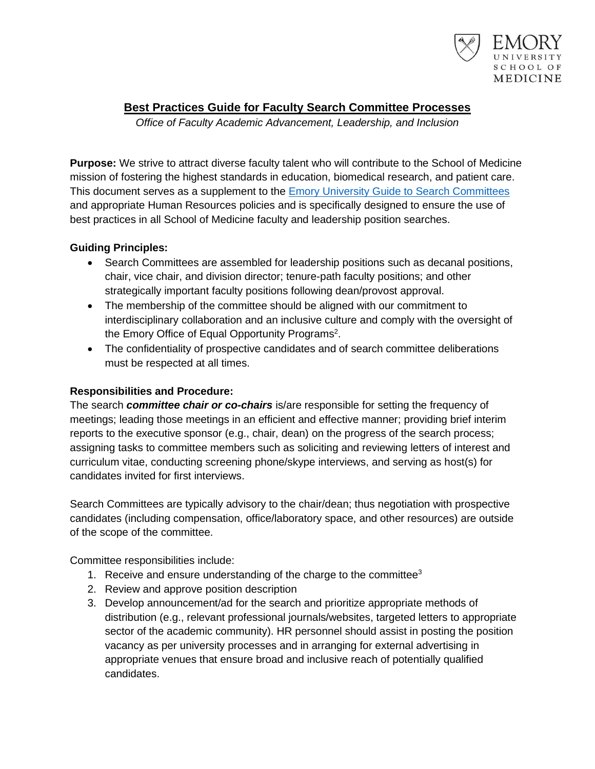

# **Best Practices Guide for Faculty Search Committee Processes**

*Office of Faculty Academic Advancement, Leadership, and Inclusion*

**Purpose:** We strive to attract diverse faculty talent who will contribute to the School of Medicine mission of fostering the highest standards in education, biomedical research, and patient care. This document serves as a supplement to the [Emory University Guide to Search Committees](http://college.emory.edu/hr/documents/guide-for-search-committees.pdf) and appropriate Human Resources policies and is specifically designed to ensure the use of best practices in all School of Medicine faculty and leadership position searches.

# **Guiding Principles:**

- Search Committees are assembled for leadership positions such as decanal positions, chair, vice chair, and division director; tenure-path faculty positions; and other strategically important faculty positions following dean/provost approval.
- The membership of the committee should be aligned with our commitment to interdisciplinary collaboration and an inclusive culture and comply with the oversight of the Emory Office of Equal Opportunity Programs<sup>2</sup>.
- The confidentiality of prospective candidates and of search committee deliberations must be respected at all times.

# **Responsibilities and Procedure:**

The search *committee chair or co-chairs* is/are responsible for setting the frequency of meetings; leading those meetings in an efficient and effective manner; providing brief interim reports to the executive sponsor (e.g., chair, dean) on the progress of the search process; assigning tasks to committee members such as soliciting and reviewing letters of interest and curriculum vitae, conducting screening phone/skype interviews, and serving as host(s) for candidates invited for first interviews.

Search Committees are typically advisory to the chair/dean; thus negotiation with prospective candidates (including compensation, office/laboratory space, and other resources) are outside of the scope of the committee.

Committee responsibilities include:

- 1. Receive and ensure understanding of the charge to the committee<sup>3</sup>
- 2. Review and approve position description
- 3. Develop announcement/ad for the search and prioritize appropriate methods of distribution (e.g., relevant professional journals/websites, targeted letters to appropriate sector of the academic community). HR personnel should assist in posting the position vacancy as per university processes and in arranging for external advertising in appropriate venues that ensure broad and inclusive reach of potentially qualified candidates.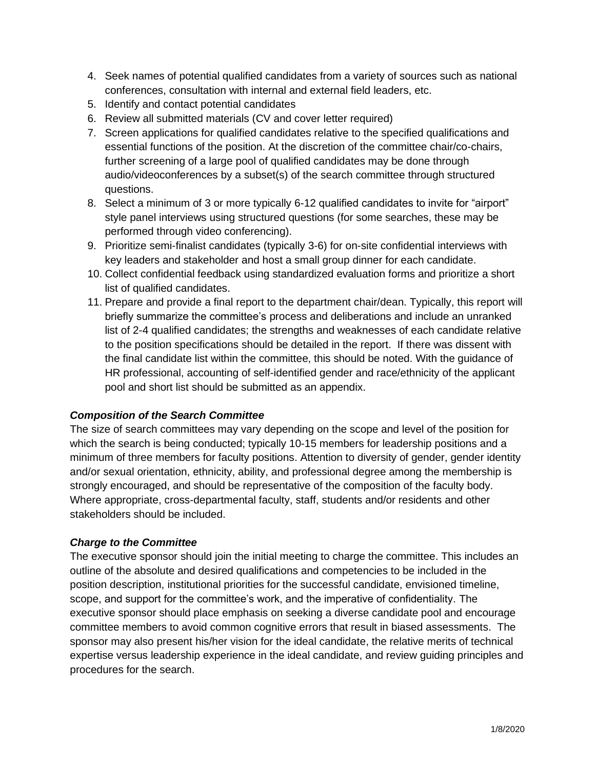- 4. Seek names of potential qualified candidates from a variety of sources such as national conferences, consultation with internal and external field leaders, etc.
- 5. Identify and contact potential candidates
- 6. Review all submitted materials (CV and cover letter required)
- 7. Screen applications for qualified candidates relative to the specified qualifications and essential functions of the position. At the discretion of the committee chair/co-chairs, further screening of a large pool of qualified candidates may be done through audio/videoconferences by a subset(s) of the search committee through structured questions.
- 8. Select a minimum of 3 or more typically 6-12 qualified candidates to invite for "airport" style panel interviews using structured questions (for some searches, these may be performed through video conferencing).
- 9. Prioritize semi-finalist candidates (typically 3-6) for on-site confidential interviews with key leaders and stakeholder and host a small group dinner for each candidate.
- 10. Collect confidential feedback using standardized evaluation forms and prioritize a short list of qualified candidates.
- 11. Prepare and provide a final report to the department chair/dean. Typically, this report will briefly summarize the committee's process and deliberations and include an unranked list of 2-4 qualified candidates; the strengths and weaknesses of each candidate relative to the position specifications should be detailed in the report. If there was dissent with the final candidate list within the committee, this should be noted. With the guidance of HR professional, accounting of self-identified gender and race/ethnicity of the applicant pool and short list should be submitted as an appendix.

## *Composition of the Search Committee*

The size of search committees may vary depending on the scope and level of the position for which the search is being conducted; typically 10-15 members for leadership positions and a minimum of three members for faculty positions. Attention to diversity of gender, gender identity and/or sexual orientation, ethnicity, ability, and professional degree among the membership is strongly encouraged, and should be representative of the composition of the faculty body. Where appropriate, cross-departmental faculty, staff, students and/or residents and other stakeholders should be included.

## *Charge to the Committee*

The executive sponsor should join the initial meeting to charge the committee. This includes an outline of the absolute and desired qualifications and competencies to be included in the position description, institutional priorities for the successful candidate, envisioned timeline, scope, and support for the committee's work, and the imperative of confidentiality. The executive sponsor should place emphasis on seeking a diverse candidate pool and encourage committee members to avoid common cognitive errors that result in biased assessments. The sponsor may also present his/her vision for the ideal candidate, the relative merits of technical expertise versus leadership experience in the ideal candidate, and review guiding principles and procedures for the search.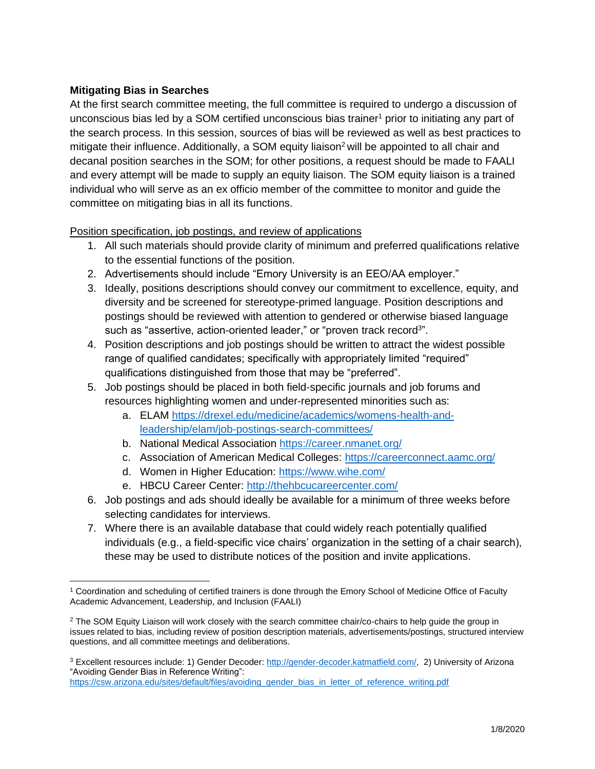# **Mitigating Bias in Searches**

At the first search committee meeting, the full committee is required to undergo a discussion of unconscious bias led by a SOM certified unconscious bias trainer<sup>1</sup> prior to initiating any part of the search process. In this session, sources of bias will be reviewed as well as best practices to mitigate their influence. Additionally, a SOM equity liaison<sup>2</sup> will be appointed to all chair and decanal position searches in the SOM; for other positions, a request should be made to FAALI and every attempt will be made to supply an equity liaison. The SOM equity liaison is a trained individual who will serve as an ex officio member of the committee to monitor and guide the committee on mitigating bias in all its functions.

Position specification, job postings, and review of applications

- 1. All such materials should provide clarity of minimum and preferred qualifications relative to the essential functions of the position.
- 2. Advertisements should include "Emory University is an EEO/AA employer."
- 3. Ideally, positions descriptions should convey our commitment to excellence, equity, and diversity and be screened for stereotype-primed language. Position descriptions and postings should be reviewed with attention to gendered or otherwise biased language such as "assertive, action-oriented leader," or "proven track record<sup>3</sup>".
- 4. Position descriptions and job postings should be written to attract the widest possible range of qualified candidates; specifically with appropriately limited "required" qualifications distinguished from those that may be "preferred".
- 5. Job postings should be placed in both field-specific journals and job forums and resources highlighting women and under-represented minorities such as:
	- a. ELAM [https://drexel.edu/medicine/academics/womens-health-and](https://drexel.edu/medicine/academics/womens-health-and-leadership/elam/job-postings-search-committees/)[leadership/elam/job-postings-search-committees/](https://drexel.edu/medicine/academics/womens-health-and-leadership/elam/job-postings-search-committees/)
	- b. National Medical Association<https://career.nmanet.org/>
	- c. Association of American Medical Colleges:<https://careerconnect.aamc.org/>
	- d. Women in Higher Education:<https://www.wihe.com/>
	- e. HBCU Career Center:<http://thehbcucareercenter.com/>
- 6. Job postings and ads should ideally be available for a minimum of three weeks before selecting candidates for interviews.
- 7. Where there is an available database that could widely reach potentially qualified individuals (e.g., a field-specific vice chairs' organization in the setting of a chair search), these may be used to distribute notices of the position and invite applications.

<sup>1</sup> Coordination and scheduling of certified trainers is done through the Emory School of Medicine Office of Faculty Academic Advancement, Leadership, and Inclusion (FAALI)

<sup>&</sup>lt;sup>2</sup> The SOM Equity Liaison will work closely with the search committee chair/co-chairs to help guide the group in issues related to bias, including review of position description materials, advertisements/postings, structured interview questions, and all committee meetings and deliberations.

<sup>3</sup> Excellent resources include: 1) Gender Decoder[: http://gender-decoder.katmatfield.com/,](http://gender-decoder.katmatfield.com/) 2) University of Arizona "Avoiding Gender Bias in Reference Writing":

[https://csw.arizona.edu/sites/default/files/avoiding\\_gender\\_bias\\_in\\_letter\\_of\\_reference\\_writing.pdf](https://csw.arizona.edu/sites/default/files/avoiding_gender_bias_in_letter_of_reference_writing.pdf)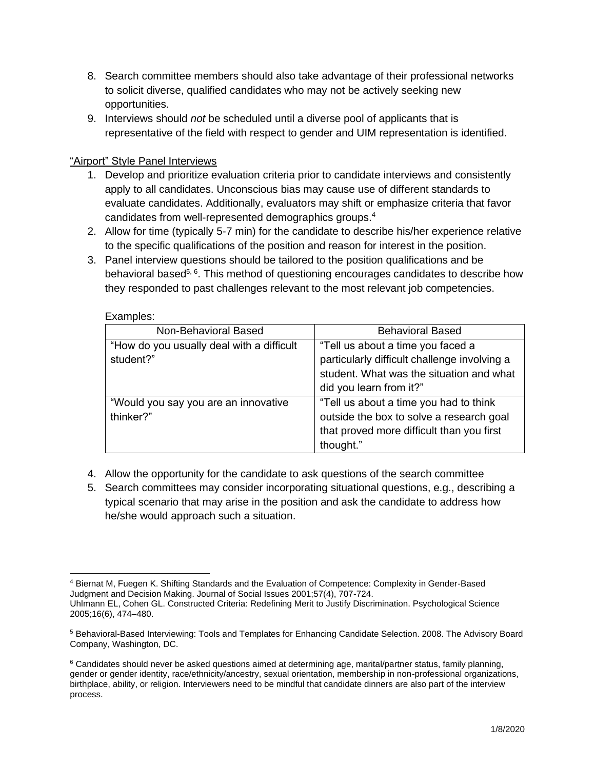- 8. Search committee members should also take advantage of their professional networks to solicit diverse, qualified candidates who may not be actively seeking new opportunities.
- 9. Interviews should *not* be scheduled until a diverse pool of applicants that is representative of the field with respect to gender and UIM representation is identified.

# "Airport" Style Panel Interviews

- 1. Develop and prioritize evaluation criteria prior to candidate interviews and consistently apply to all candidates. Unconscious bias may cause use of different standards to evaluate candidates. Additionally, evaluators may shift or emphasize criteria that favor candidates from well-represented demographics groups.<sup>4</sup>
- 2. Allow for time (typically 5-7 min) for the candidate to describe his/her experience relative to the specific qualifications of the position and reason for interest in the position.
- 3. Panel interview questions should be tailored to the position qualifications and be behavioral based<sup>5, 6</sup>. This method of questioning encourages candidates to describe how they responded to past challenges relevant to the most relevant job competencies.

| -numpiou.                                 |                                              |
|-------------------------------------------|----------------------------------------------|
| Non-Behavioral Based                      | <b>Behavioral Based</b>                      |
| "How do you usually deal with a difficult | "Tell us about a time you faced a            |
| student?"                                 | particularly difficult challenge involving a |
|                                           | student. What was the situation and what     |
|                                           | did you learn from it?"                      |
| "Would you say you are an innovative      | "Tell us about a time you had to think       |
| thinker?"                                 | outside the box to solve a research goal     |
|                                           | that proved more difficult than you first    |
|                                           | thought."                                    |

#### Examples:

- 4. Allow the opportunity for the candidate to ask questions of the search committee
- 5. Search committees may consider incorporating situational questions, e.g., describing a typical scenario that may arise in the position and ask the candidate to address how he/she would approach such a situation.

<sup>4</sup> Biernat M, Fuegen K. Shifting Standards and the Evaluation of Competence: Complexity in Gender-Based Judgment and Decision Making. Journal of Social Issues 2001;57(4), 707-724.

Uhlmann EL, Cohen GL. Constructed Criteria: Redefining Merit to Justify Discrimination. Psychological Science 2005;16(6), 474–480.

<sup>5</sup> Behavioral-Based Interviewing: Tools and Templates for Enhancing Candidate Selection. 2008. The Advisory Board Company, Washington, DC.

 $6$  Candidates should never be asked questions aimed at determining age, marital/partner status, family planning, gender or gender identity, race/ethnicity/ancestry, sexual orientation, membership in non-professional organizations, birthplace, ability, or religion. Interviewers need to be mindful that candidate dinners are also part of the interview process.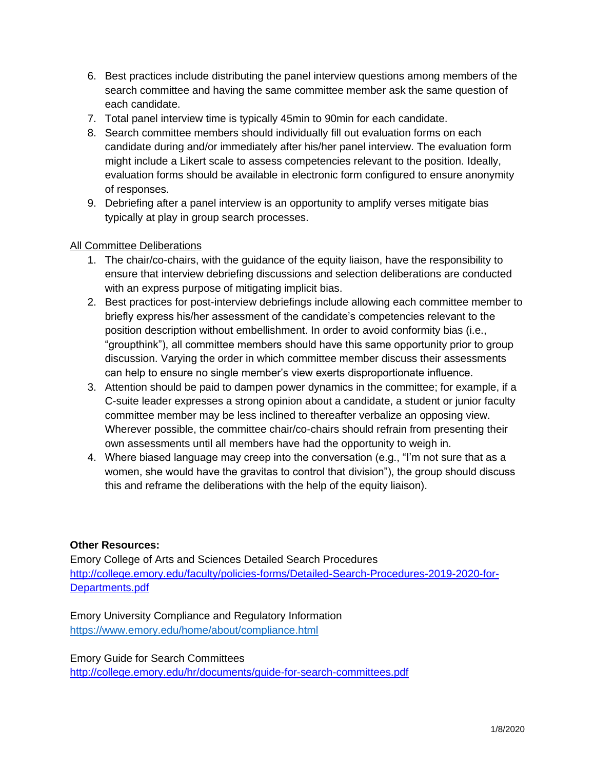- 6. Best practices include distributing the panel interview questions among members of the search committee and having the same committee member ask the same question of each candidate.
- 7. Total panel interview time is typically 45min to 90min for each candidate.
- 8. Search committee members should individually fill out evaluation forms on each candidate during and/or immediately after his/her panel interview. The evaluation form might include a Likert scale to assess competencies relevant to the position. Ideally, evaluation forms should be available in electronic form configured to ensure anonymity of responses.
- 9. Debriefing after a panel interview is an opportunity to amplify verses mitigate bias typically at play in group search processes.

## All Committee Deliberations

- 1. The chair/co-chairs, with the guidance of the equity liaison, have the responsibility to ensure that interview debriefing discussions and selection deliberations are conducted with an express purpose of mitigating implicit bias.
- 2. Best practices for post-interview debriefings include allowing each committee member to briefly express his/her assessment of the candidate's competencies relevant to the position description without embellishment. In order to avoid conformity bias (i.e., "groupthink"), all committee members should have this same opportunity prior to group discussion. Varying the order in which committee member discuss their assessments can help to ensure no single member's view exerts disproportionate influence.
- 3. Attention should be paid to dampen power dynamics in the committee; for example, if a C-suite leader expresses a strong opinion about a candidate, a student or junior faculty committee member may be less inclined to thereafter verbalize an opposing view. Wherever possible, the committee chair/co-chairs should refrain from presenting their own assessments until all members have had the opportunity to weigh in.
- 4. Where biased language may creep into the conversation (e.g., "I'm not sure that as a women, she would have the gravitas to control that division"), the group should discuss this and reframe the deliberations with the help of the equity liaison).

## **Other Resources:**

Emory College of Arts and Sciences Detailed Search Procedures [http://college.emory.edu/faculty/policies-forms/Detailed-Search-Procedures-2019-2020-for-](http://college.emory.edu/faculty/policies-forms/Detailed-Search-Procedures-2019-2020-for-Departments.pdf)[Departments.pdf](http://college.emory.edu/faculty/policies-forms/Detailed-Search-Procedures-2019-2020-for-Departments.pdf)

Emory University Compliance and Regulatory Information <https://www.emory.edu/home/about/compliance.html>

Emory Guide for Search Committees <http://college.emory.edu/hr/documents/guide-for-search-committees.pdf>